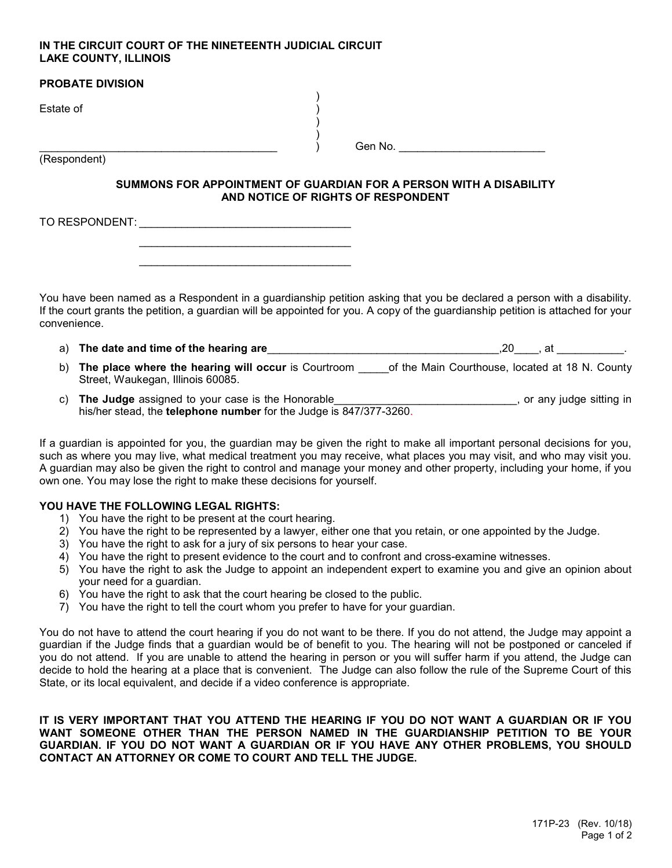### IN THE CIRCUIT COURT OF THE NINETEENTH JUDICIAL CIRCUIT LAKE COUNTY, ILLINOIS

 $\mathcal{L}_\text{max} = \frac{1}{2} \sum_{i=1}^{n} \frac{1}{2} \sum_{i=1}^{n} \frac{1}{2} \sum_{i=1}^{n} \frac{1}{2} \sum_{i=1}^{n} \frac{1}{2} \sum_{i=1}^{n} \frac{1}{2} \sum_{i=1}^{n} \frac{1}{2} \sum_{i=1}^{n} \frac{1}{2} \sum_{i=1}^{n} \frac{1}{2} \sum_{i=1}^{n} \frac{1}{2} \sum_{i=1}^{n} \frac{1}{2} \sum_{i=1}^{n} \frac{1}{2} \sum_{i=1}^{n} \frac{1$  $\mathcal{L}_\text{max} = \frac{1}{2} \sum_{i=1}^{n} \frac{1}{2} \sum_{i=1}^{n} \frac{1}{2} \sum_{i=1}^{n} \frac{1}{2} \sum_{i=1}^{n} \frac{1}{2} \sum_{i=1}^{n} \frac{1}{2} \sum_{i=1}^{n} \frac{1}{2} \sum_{i=1}^{n} \frac{1}{2} \sum_{i=1}^{n} \frac{1}{2} \sum_{i=1}^{n} \frac{1}{2} \sum_{i=1}^{n} \frac{1}{2} \sum_{i=1}^{n} \frac{1}{2} \sum_{i=1}^{n} \frac{1$ 

| <b>PROBATE DIVISION</b> |         |
|-------------------------|---------|
| Estate of               |         |
| (Respondent)            | Gen No. |
|                         |         |

### SUMMONS FOR APPOINTMENT OF GUARDIAN FOR A PERSON WITH A DISABILITY AND NOTICE OF RIGHTS OF RESPONDENT

TO RESPONDENT: \_\_\_\_\_\_\_\_\_\_\_\_\_\_\_\_\_\_\_\_\_\_\_\_\_\_\_\_\_\_\_\_\_\_\_

You have been named as a Respondent in a guardianship petition asking that you be declared a person with a disability. If the court grants the petition, a guardian will be appointed for you. A copy of the guardianship petition is attached for your convenience.

- a) The date and time of the hearing are entity and the state of the hearing are the state of the hearing are the state of the state of the hearing are the state of the state of the state of the state of the state of the st
- b) The place where the hearing will occur is Courtroom of the Main Courthouse, located at 18 N. County Street, Waukegan, Illinois 60085.
- c) The Judge assigned to your case is the Honorable\_\_\_\_\_\_\_\_\_\_\_\_\_\_\_\_\_\_\_\_\_\_\_\_\_\_\_\_, or any judge sitting in his/her stead, the telephone number for the Judge is 847/377-3260.

If a guardian is appointed for you, the guardian may be given the right to make all important personal decisions for you, such as where you may live, what medical treatment you may receive, what places you may visit, and who may visit you. A guardian may also be given the right to control and manage your money and other property, including your home, if you own one. You may lose the right to make these decisions for yourself.

# YOU HAVE THE FOLLOWING LEGAL RIGHTS:

- 1) You have the right to be present at the court hearing.
- 2) You have the right to be represented by a lawyer, either one that you retain, or one appointed by the Judge.
- 3) You have the right to ask for a jury of six persons to hear your case.
- 4) You have the right to present evidence to the court and to confront and cross-examine witnesses.
- 5) You have the right to ask the Judge to appoint an independent expert to examine you and give an opinion about your need for a guardian.
- 6) You have the right to ask that the court hearing be closed to the public.
- 7) You have the right to tell the court whom you prefer to have for your guardian.

You do not have to attend the court hearing if you do not want to be there. If you do not attend, the Judge may appoint a guardian if the Judge finds that a guardian would be of benefit to you. The hearing will not be postponed or canceled if you do not attend. If you are unable to attend the hearing in person or you will suffer harm if you attend, the Judge can decide to hold the hearing at a place that is convenient. The Judge can also follow the rule of the Supreme Court of this State, or its local equivalent, and decide if a video conference is appropriate.

IT IS VERY IMPORTANT THAT YOU ATTEND THE HEARING IF YOU DO NOT WANT A GUARDIAN OR IF YOU WANT SOMEONE OTHER THAN THE PERSON NAMED IN THE GUARDIANSHIP PETITION TO BE YOUR GUARDIAN. IF YOU DO NOT WANT A GUARDIAN OR IF YOU HAVE ANY OTHER PROBLEMS, YOU SHOULD CONTACT AN ATTORNEY OR COME TO COURT AND TELL THE JUDGE.